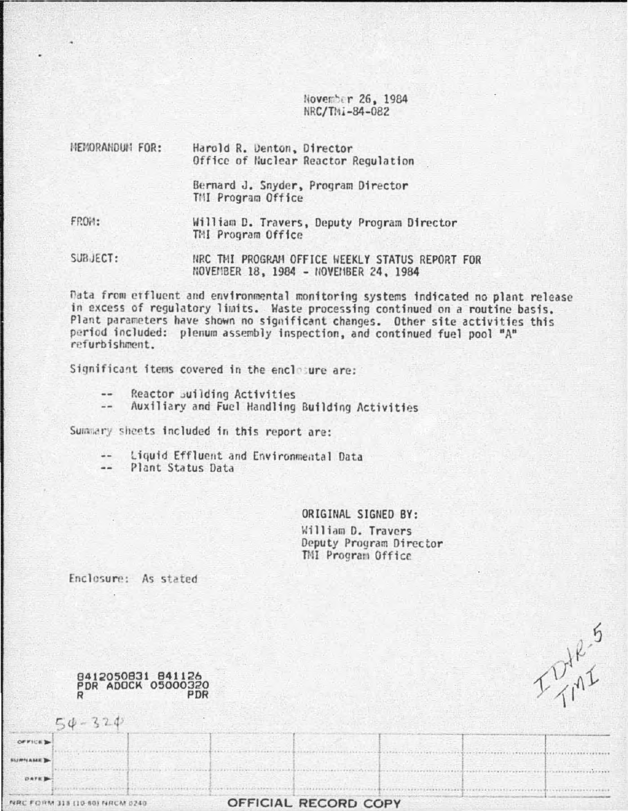November 26, 1984 NRC/TMi-84-082

| <b>HEMORANDUM FOR:</b> | Harold R. Denton, Director<br>Office of Nuclear Reactor Regulation |  |  |
|------------------------|--------------------------------------------------------------------|--|--|
|                        | Bernard J. Snyder, Program Director<br>TMI Program Office          |  |  |
| FROM:                  | William D. Travers, Deputy Program Director<br>TMI Program Office  |  |  |
| SUBJECT:               | NRC THI PROGRAM OFFICE WEEKLY STATUS REPORT FOR                    |  |  |

Data from etfluent and environmental monitoring systems indicated no plant release in excess of regulatory limits. Waste processing continued on a routine basis. Plant parameters have shown no significant changes. Other site activities this period included: plenum assembly inspection, and continued fuel pool "A" refurbishment.

NOVEMBER 18, 1984 - NOVEMBER 24, 1984

Significant items covered in the enclosure are:

- Reactor suilding Activities  $-1$
- Auxiliary and Fuel Handling Building Activities  $\frac{1}{2}$

Summary sheets included in this report are:

- Liquid Effluent and Environmental Data
- --Plant Status Data

ORIGINAL SIGNED BY: William D. Travers Deputy Program Director TMI Program Office

I Jule 5

Enclosure: As stated

8412050831 841126<br>PDR ADOCK 05000320 PDR

 $50 - 320$ 

**NRC FORM 318 (10-80) NRCM 0240** 

OF FICE **N NUMBER DATE** 

| OFFICIAL RECORD COPY |  |  |  |  |  |
|----------------------|--|--|--|--|--|
|----------------------|--|--|--|--|--|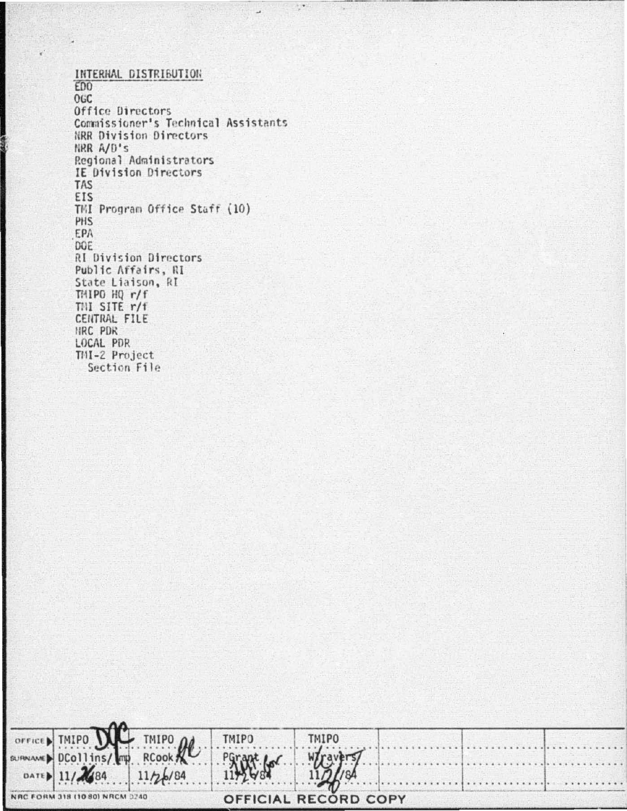INTERNAL DISTRIBUTION ED<sub>0</sub> OGC Office Directors Commissioner's Technical Assistants NRR Division Directors NRR A/D's Regional Administrators IE Division Directors **TAS** EIS TMI Program Office Staff (10) PHS EPA DOE **RI Division Directors** Public Affairs, RI State Liaison, RI THIPO HQ r/f THI SITE r/f CENTRAL FILE HRC PDR LOCAL PDR TMI-2 Project Section File

 $\frac{1}{\rho}$ 

| OFFICED TMIPO DU TMIPO 2 TMIPO |        | <b>TMIPO</b>                |  |  |
|--------------------------------|--------|-----------------------------|--|--|
|                                |        |                             |  |  |
| DATED 11/2684 11/26/84         | 114268 | 11/11/84                    |  |  |
| NRC FORM 318 (10 80) NRCM 0240 |        | <b>OFFICIAL RECORD COPY</b> |  |  |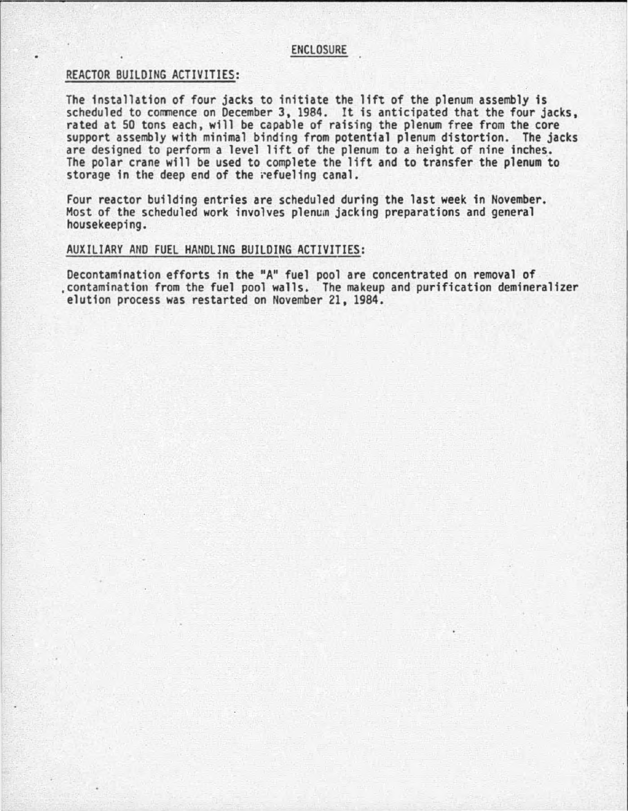## **ENCLOSURE**

## REACTOR BUILDING ACTIVITIES:

The installation of four jacks to initiate the lift of the plenum assembly is scheduled to commence on December 3, 1984. It is anticipated that the four jacks, rated at 50 tons each, will be capable of raising the plenum free from the core support assembly with minimal binding from potential plenum distortion. The jacks are designed to perform a level lift of the plenum to a height of nine inches. The polar crane will be used to complete the lift and to transfer the plenum to storage in the deep end of the refueling canal.

Four reactor building entries are scheduled during the last week in November. Most of the scheduled work involves plenum jacking preparations and general housekeeping.

## AUXILIARY AND FUEL HANDLING BUILDING ACTIVITIES:

Decontamination efforts in the "A" fuel pool are concentrated on removal of<br>contamination from the fuel pool walls. The makeup and purification demineralizer elution process was restarted on November 21, 1984.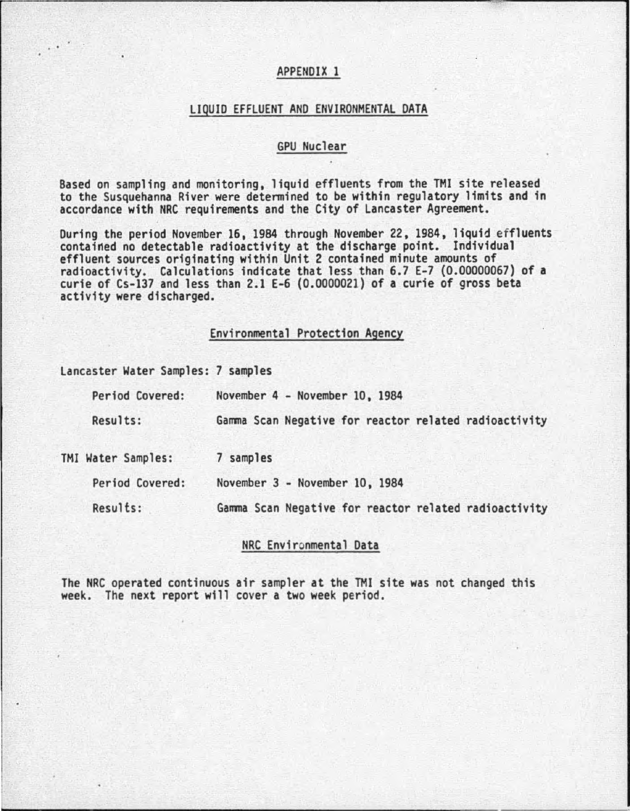# APPENDIX 1

#### LIQUID EFFLUENT AND ENVIRONMENTAL DATA

## GPU Nuclear

Based on sampling and monitoring, liquid effluents from the TMI site released to the Susquehanna River were determined to be within regulatory limits and in accordance with NRC requirements and the City of Lancaster Agreement.

During the period November 16, 1984 through November 22, 1984, liquid effluents contained no detectable radioactivity at the discharge point. Individual effluent sources originating within Unit 2 contained minute amounts of radioactivity. Calculations indicate that less than 6.7 E-7 (0.00000067) of a curie of Cs-137 and less than 2.1 E-6 (0.0000021) of a curie of gross beta activity were discharged.

#### Environmental Protection Agency

Lancaster Water Samples: 7 samples

..

| Period Covered:    | November 4 - November 10, 1984                        |
|--------------------|-------------------------------------------------------|
| Results:           | Gamma Scan Negative for reactor related radioactivity |
| TMI Water Samples: | 7 samples                                             |
| Period Covered:    | November 3 - November 10, 1984                        |
| Results:           | Gamma Scan Negative for reactor related radioactivity |

### NRC Environmental Data

The NRC operated continuous air sampler at the TMI site was not changed this week. The next report will cover a two week period.